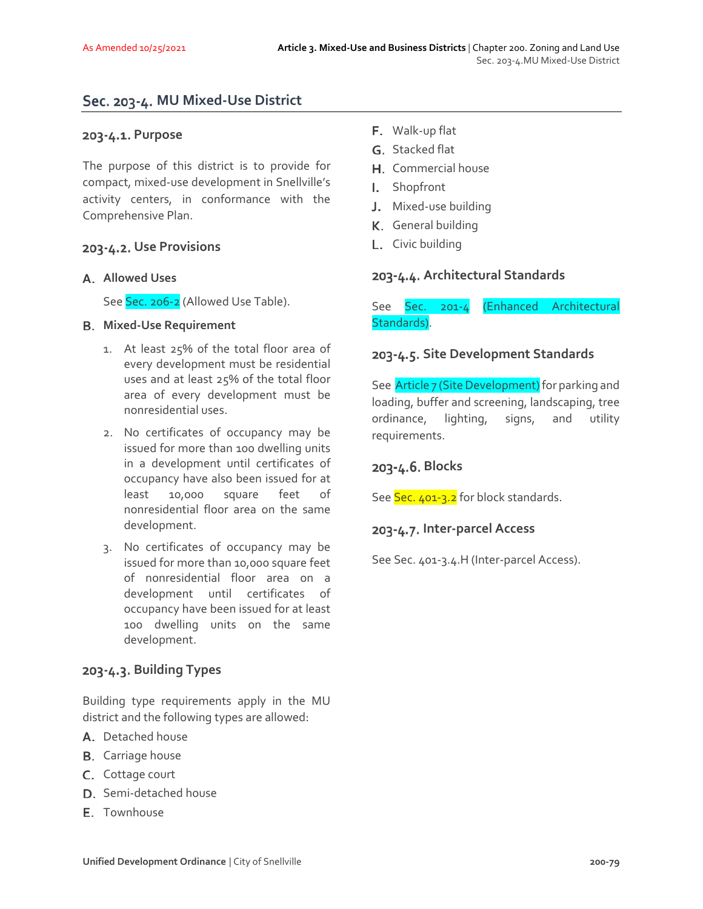# **MU Mixed‐Use District**

### 203-4.1. Purpose

The purpose of this district is to provide for compact, mixed‐use development in Snellville's activity centers, in conformance with the Comprehensive Plan.

### **Use Provisions**

#### **Allowed Uses**

See Sec. 206-2 (Allowed Use Table).

#### **Mixed‐Use Requirement**

- 1. At least 25% of the total floor area of every development must be residential uses and at least 25% of the total floor area of every development must be nonresidential uses.
- 2. No certificates of occupancy may be issued for more than 100 dwelling units in a development until certificates of occupancy have also been issued for at least 10,000 square feet of nonresidential floor area on the same development.
- 3. No certificates of occupancy may be issued for more than 10,000 square feet of nonresidential floor area on a development until certificates of occupancy have been issued for at least 100 dwelling units on the same development.

## **Building Types**

Building type requirements apply in the MU district and the following types are allowed:

- A. Detached house
- **B.** Carriage house
- C. Cottage court
- D. Semi-detached house
- E. Townhouse
- F. Walk-up flat
- G. Stacked flat
- H. Commercial house
- Shopfront  $\mathbf{L}$
- J. Mixed-use building
- K. General building
- L. Civic building

### **Architectural Standards**

See Sec. 201‐4 (Enhanced Architectural Standards).

### **Site Development Standards**

See **Article 7 (Site Development)** for parking and loading, buffer and screening, landscaping, tree ordinance, lighting, signs, and utility requirements.

## **Blocks**

See Sec. 401-3.2 for block standards.

#### **Inter‐parcel Access**

See Sec. 401‐3.4.H (Inter‐parcel Access).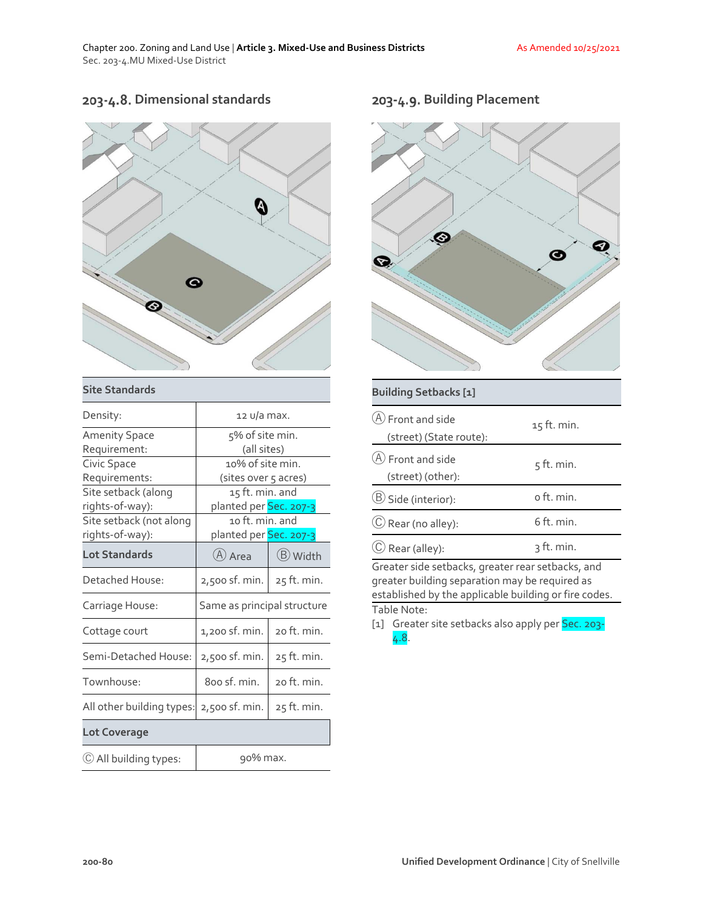# **Dimensional standards**



#### **Site Standards**

| Density:                  | 12 U/a max.                         |             |
|---------------------------|-------------------------------------|-------------|
| <b>Amenity Space</b>      | 5% of site min.                     |             |
| Requirement:              | (all sites)                         |             |
| Civic Space               | 10% of site min.                    |             |
| Requirements:             | (sites over 5 acres)                |             |
| Site setback (along       | 15 ft. min. and                     |             |
| rights-of-way):           | planted per <mark>Sec. 207-3</mark> |             |
| Site setback (not along   | 10 ft. min. and                     |             |
| rights-of-way):           | planted per <mark>Sec. 207-3</mark> |             |
| <b>Lot Standards</b>      | (A) Area                            | (B) Width   |
| Detached House:           | 2,500 sf. min.                      | 25 ft. min. |
| Carriage House:           | Same as principal structure         |             |
| Cottage court             | 1,200 sf. min.                      | 20 ft. min. |
| Semi-Detached House:      | 2,500 sf. min.                      | 25 ft. min. |
| Townhouse:                | 800 sf. min.                        | 20 ft. min. |
| All other building types: | 2,500 sf. min.                      | 25 ft. min. |
| <b>Lot Coverage</b>       |                                     |             |
| (C) All building types:   | 90% max.                            |             |

# **Building Placement**



#### **Building Setbacks [1]**

| $(A)$ Front and side<br>(street) (State route):   | 15 ft. min.  |
|---------------------------------------------------|--------------|
| $(A)$ Front and side<br>(street) (other):         | $5$ ft. min. |
| (B) Side (interior):                              | o ft. min.   |
| $\circled{C}$ Rear (no alley):                    | 6 ft. min.   |
| $\circled{C}$ Rear (alley):                       | 3 ft. min.   |
| Greater side setbacks, greater rear setbacks, and |              |

greater building separation may be required as established by the applicable building or fire codes. Table Note:

[1] Greater site setbacks also apply per Sec. 203-4.8.